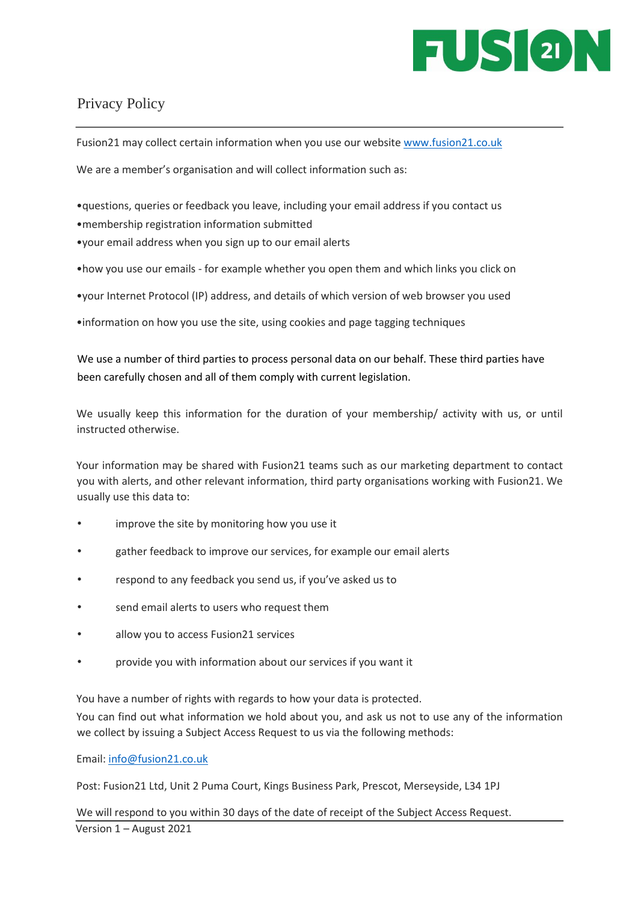

## Privacy Policy

Fusion21 may collect certain information when you use our website www.fusion21.co.uk

We are a member's organisation and will collect information such as:

•questions, queries or feedback you leave, including your email address if you contact us

•membership registration information submitted

•your email address when you sign up to our email alerts

•how you use our emails - for example whether you open them and which links you click on

•your Internet Protocol (IP) address, and details of which version of web browser you used

•information on how you use the site, using cookies and page tagging techniques

We use a number of third parties to process personal data on our behalf. These third parties have been carefully chosen and all of them comply with current legislation.

We usually keep this information for the duration of your membership/ activity with us, or until instructed otherwise.

Your information may be shared with Fusion21 teams such as our marketing department to contact you with alerts, and other relevant information, third party organisations working with Fusion21. We usually use this data to:

- improve the site by monitoring how you use it
- gather feedback to improve our services, for example our email alerts
- respond to any feedback you send us, if you've asked us to
- send email alerts to users who request them
- allow you to access Fusion21 services
- provide you with information about our services if you want it

You have a number of rights with regards to how your data is protected.

You can find out what information we hold about you, and ask us not to use any of the information we collect by issuing a Subject Access Request to us via the following methods:

Email: info@fusion21.co.uk

Post: Fusion21 Ltd, Unit 2 Puma Court, Kings Business Park, Prescot, Merseyside, L34 1PJ

We will respond to you within 30 days of the date of receipt of the Subject Access Request. Version 1 – August 2021